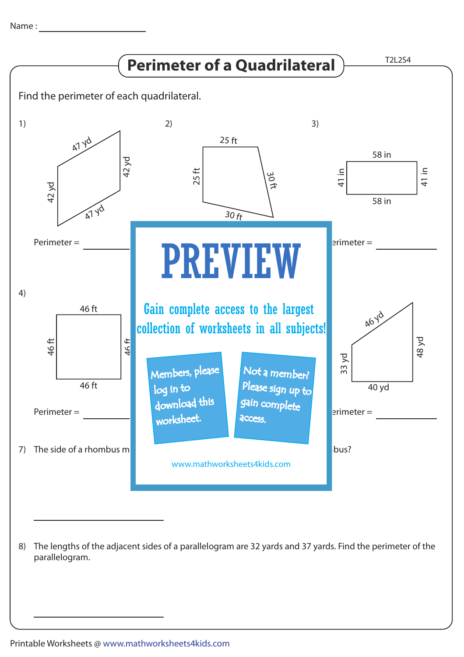

The lengths of the adjacent sides of a parallelogram are 32 yards and 37 yards. Find the perimeter of the 8) parallelogram.